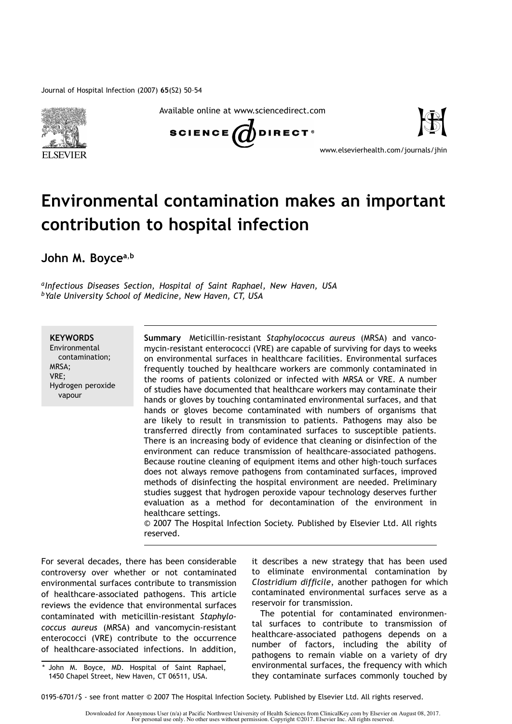

Available online at www.sciencedirect.com





www.elsevierhealth.com/journals/jhin

## Environmental contamination makes an important contribution to hospital infection

John M. Boyce<sup>a,b</sup>

*aInfectious Diseases Section, Hospital of Saint Raphael, New Haven, USA bYale University School of Medicine, New Haven, CT, USA*

**KEYWORDS** 

Environmental contamination; MRSA; VRE; Hydrogen peroxide vapour

Summary Meticillin-resistant *Staphylococcus aureus* (MRSA) and vancomycin-resistant enterococci (VRE) are capable of surviving for days to weeks on environmental surfaces in healthcare facilities. Environmental surfaces frequently touched by healthcare workers are commonly contaminated in the rooms of patients colonized or infected with MRSA or VRE. A number of studies have documented that healthcare workers may contaminate their hands or gloves by touching contaminated environmental surfaces, and that hands or gloves become contaminated with numbers of organisms that are likely to result in transmission to patients. Pathogens may also be transferred directly from contaminated surfaces to susceptible patients. There is an increasing body of evidence that cleaning or disinfection of the environment can reduce transmission of healthcare-associated pathogens. Because routine cleaning of equipment items and other high-touch surfaces does not always remove pathogens from contaminated surfaces, improved methods of disinfecting the hospital environment are needed. Preliminary studies suggest that hydrogen peroxide vapour technology deserves further evaluation as a method for decontamination of the environment in healthcare settings.

© 2007 The Hospital Infection Society. Published by Elsevier Ltd. All rights reserved.

For several decades, there has been considerable controversy over whether or not contaminated environmental surfaces contribute to transmission of healthcare-associated pathogens. This article reviews the evidence that environmental surfaces contaminated with meticillin-resistant *Staphylococcus aureus* (MRSA) and vancomycin-resistant enterococci (VRE) contribute to the occurrence of healthcare-associated infections. In addition,

it describes a new strategy that has been used to eliminate environmental contamination by *Clostridium difficile*, another pathogen for which contaminated environmental surfaces serve as a reservoir for transmission.

The potential for contaminated environmental surfaces to contribute to transmission of healthcare-associated pathogens depends on a number of factors, including the ability of pathogens to remain viable on a variety of dry environmental surfaces, the frequency with which they contaminate surfaces commonly touched by

John M. Boyce, MD. Hospital of Saint Raphael, 1450 Chapel Street, New Haven, CT 06511, USA.

<sup>0195-6701/\$ -</sup> see front matter © 2007 The Hospital Infection Society. Published by Elsevier Ltd. All rights reserved.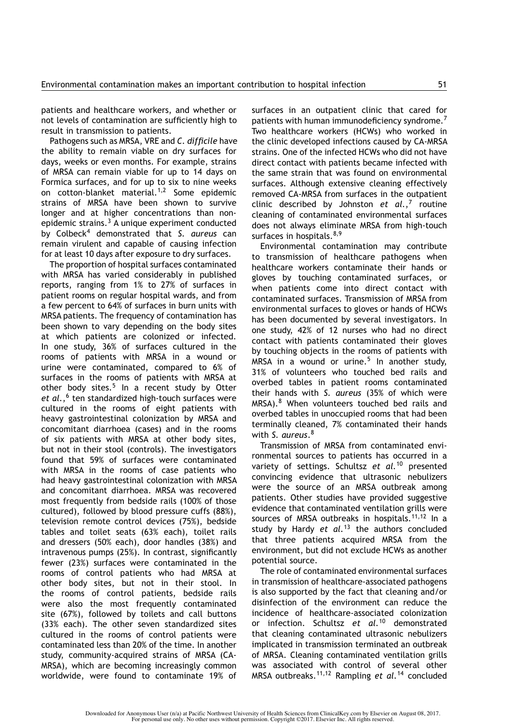patients and healthcare workers, and whether or not levels of contamination are sufficiently high to result in transmission to patients.

Pathogens such as MRSA, VRE and *C. difficile* have the ability to remain viable on dry surfaces for days, weeks or even months. For example, strains of MRSA can remain viable for up to 14 days on Formica surfaces, and for up to six to nine weeks on cotton-blanket material.<sup>1,2</sup> Some epidemic strains of MRSA have been shown to survive longer and at higher concentrations than nonepidemic strains.<sup>3</sup> A unique experiment conducted by Colbeck<sup>4</sup> demonstrated that *S. aureus* can remain virulent and capable of causing infection for at least 10 days after exposure to dry surfaces.

The proportion of hospital surfaces contaminated with MRSA has varied considerably in published reports, ranging from 1% to 27% of surfaces in patient rooms on regular hospital wards, and from a few percent to 64% of surfaces in burn units with MRSA patients. The frequency of contamination has been shown to vary depending on the body sites at which patients are colonized or infected. In one study, 36% of surfaces cultured in the rooms of patients with MRSA in a wound or urine were contaminated, compared to 6% of surfaces in the rooms of patients with MRSA at other body sites. $5$  In a recent study by Otter et al.,<sup>6</sup> ten standardized high-touch surfaces were cultured in the rooms of eight patients with heavy gastrointestinal colonization by MRSA and concomitant diarrhoea (cases) and in the rooms of six patients with MRSA at other body sites, but not in their stool (controls). The investigators found that 59% of surfaces were contaminated with MRSA in the rooms of case patients who had heavy gastrointestinal colonization with MRSA and concomitant diarrhoea. MRSA was recovered most frequently from bedside rails (100% of those cultured), followed by blood pressure cuffs (88%), television remote control devices (75%), bedside tables and toilet seats (63% each), toilet rails and dressers (50% each), door handles (38%) and intravenous pumps (25%). In contrast, significantly fewer (23%) surfaces were contaminated in the rooms of control patients who had MRSA at other body sites, but not in their stool. In the rooms of control patients, bedside rails were also the most frequently contaminated site (67%), followed by toilets and call buttons (33% each). The other seven standardized sites cultured in the rooms of control patients were contaminated less than 20% of the time. In another study, community-acquired strains of MRSA (CA-MRSA), which are becoming increasingly common worldwide, were found to contaminate 19% of surfaces in an outpatient clinic that cared for patients with human immunodeficiency syndrome.<sup>7</sup> Two healthcare workers (HCWs) who worked in the clinic developed infections caused by CA-MRSA strains. One of the infected HCWs who did not have direct contact with patients became infected with the same strain that was found on environmental surfaces. Although extensive cleaning effectively removed CA-MRSA from surfaces in the outpatient clinic described by Johnston *et al.*,<sup>7</sup> routine cleaning of contaminated environmental surfaces does not always eliminate MRSA from high-touch surfaces in hospitals. $8,9$ 

Environmental contamination may contribute to transmission of healthcare pathogens when healthcare workers contaminate their hands or gloves by touching contaminated surfaces, or when patients come into direct contact with contaminated surfaces. Transmission of MRSA from environmental surfaces to gloves or hands of HCWs has been documented by several investigators. In one study, 42% of 12 nurses who had no direct contact with patients contaminated their gloves by touching objects in the rooms of patients with MRSA in a wound or urine.<sup>5</sup> In another study, 31% of volunteers who touched bed rails and overbed tables in patient rooms contaminated their hands with *S. aureus* (35% of which were MRSA).<sup>8</sup> When volunteers touched bed rails and overbed tables in unoccupied rooms that had been terminally cleaned, 7% contaminated their hands with *S. aureus*.<sup>8</sup>

Transmission of MRSA from contaminated environmental sources to patients has occurred in a variety of settings. Schultsz *et al.*<sup>10</sup> presented convincing evidence that ultrasonic nebulizers were the source of an MRSA outbreak among patients. Other studies have provided suggestive evidence that contaminated ventilation grills were sources of MRSA outbreaks in hospitals.<sup>11,12</sup> In a study by Hardy *et al.*<sup>13</sup> the authors concluded that three patients acquired MRSA from the environment, but did not exclude HCWs as another potential source.

The role of contaminated environmental surfaces in transmission of healthcare-associated pathogens is also supported by the fact that cleaning and/or disinfection of the environment can reduce the incidence of healthcare-associated colonization or infection. Schultsz *et al.*<sup>10</sup> demonstrated that cleaning contaminated ultrasonic nebulizers implicated in transmission terminated an outbreak of MRSA. Cleaning contaminated ventilation grills was associated with control of several other MRSA outbreaks.11,12 Rampling *et al.*<sup>14</sup> concluded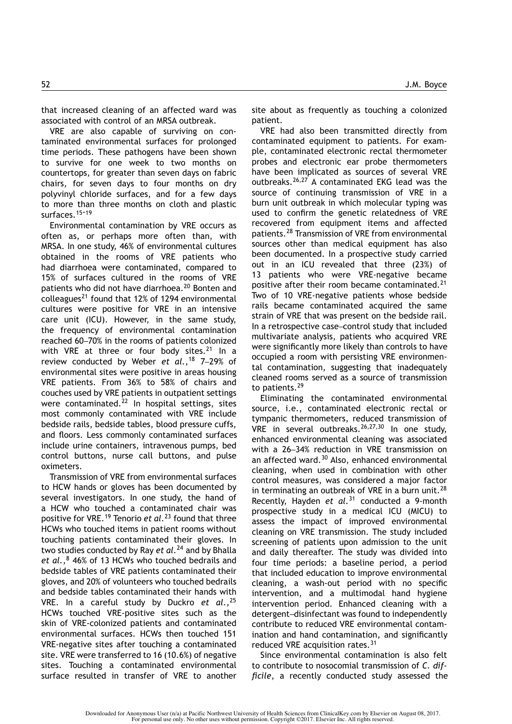that increased cleaning of an affected ward was associated with control of an MRSA outbreak.

VRE are also capable of surviving on contaminated environmental surfaces for prolonged time periods. These pathogens have been shown to survive for one week to two months on countertops, for greater than seven days on fabric chairs, for seven days to four months on dry polyvinyl chloride surfaces, and for a few days to more than three months on cloth and plastic surfaces.<sup>15-19</sup>

Environmental contamination by VRE occurs as often as, or perhaps more often than, with MRSA. In one study, 46% of environmental cultures obtained in the rooms of VRE patients who had diarrhoea were contaminated, compared to 15% of surfaces cultured in the rooms of VRE patients who did not have diarrhoea.<sup>20</sup> Bonten and colleagues<sup>21</sup> found that 12% of 1294 environmental cultures were positive for VRE in an intensive care unit (ICU). However, in the same study, the frequency of environmental contamination reached 60-70% in the rooms of patients colonized with VRE at three or four body sites. $21$  In a review conducted by Weber *et al.*,<sup>18</sup> 7-29% of environmental sites were positive in areas housing VRE patients. From 36% to 58% of chairs and couches used by VRE patients in outpatient settings were contaminated.<sup>22</sup> In hospital settings, sites most commonly contaminated with VRE include bedside rails, bedside tables, blood pressure cuffs, and floors. Less commonly contaminated surfaces include urine containers, intravenous pumps, bed control buttons, nurse call buttons, and pulse oximeters.

Transmission of VRE from environmental surfaces to HCW hands or gloves has been documented by several investigators. In one study, the hand of a HCW who touched a contaminated chair was positive for VRE.<sup>19</sup> Tenorio *et al.*<sup>23</sup> found that three HCWs who touched items in patient rooms without touching patients contaminated their gloves. In two studies conducted by Ray *et al.*<sup>24</sup> and by Bhalla et al.,<sup>8</sup> 46% of 13 HCWs who touched bedrails and bedside tables of VRE patients contaminated their gloves, and 20% of volunteers who touched bedrails and bedside tables contaminated their hands with VRE. In a careful study by Duckro *et al.*,<sup>25</sup> HCWs touched VRE-positive sites such as the skin of VRE-colonized patients and contaminated environmental surfaces. HCWs then touched 151 VRE-negative sites after touching a contaminated site. VRE were transferred to 16 (10.6%) of negative sites. Touching a contaminated environmental surface resulted in transfer of VRE to another site about as frequently as touching a colonized patient.

VRE had also been transmitted directly from contaminated equipment to patients. For example, contaminated electronic rectal thermometer probes and electronic ear probe thermometers have been implicated as sources of several VRE outbreaks.26,27 A contaminated EKG lead was the source of continuing transmission of VRE in a burn unit outbreak in which molecular typing was used to confirm the genetic relatedness of VRE recovered from equipment items and affected patients.<sup>28</sup> Transmission of VRE from environmental sources other than medical equipment has also been documented. In a prospective study carried out in an ICU revealed that three (23%) of 13 patients who were VRE-negative became positive after their room became contaminated.<sup>21</sup> Two of 10 VRE-negative patients whose bedside rails became contaminated acquired the same strain of VRE that was present on the bedside rail. In a retrospective case-control study that included multivariate analysis, patients who acquired VRE were significantly more likely than controls to have occupied a room with persisting VRE environmental contamination, suggesting that inadequately cleaned rooms served as a source of transmission to patients.<sup>29</sup>

Eliminating the contaminated environmental source, i.e., contaminated electronic rectal or tympanic thermometers, reduced transmission of VRE in several outbreaks.  $26,27,30$  In one study, enhanced environmental cleaning was associated with a 26-34% reduction in VRE transmission on an affected ward.<sup>30</sup> Also, enhanced environmental cleaning, when used in combination with other control measures, was considered a major factor in terminating an outbreak of VRE in a burn unit.<sup>28</sup> Recently, Hayden *et al.*<sup>31</sup> conducted a 9-month prospective study in a medical ICU (MICU) to assess the impact of improved environmental cleaning on VRE transmission. The study included screening of patients upon admission to the unit and daily thereafter. The study was divided into four time periods: a baseline period, a period that included education to improve environmental cleaning, a wash-out period with no specific intervention, and a multimodal hand hygiene intervention period. Enhanced cleaning with a detergent-disinfectant was found to independently contribute to reduced VRE environmental contamination and hand contamination, and significantly reduced VRE acquisition rates.<sup>31</sup>

Since environmental contamination is also felt to contribute to nosocomial transmission of *C. difficile*, a recently conducted study assessed the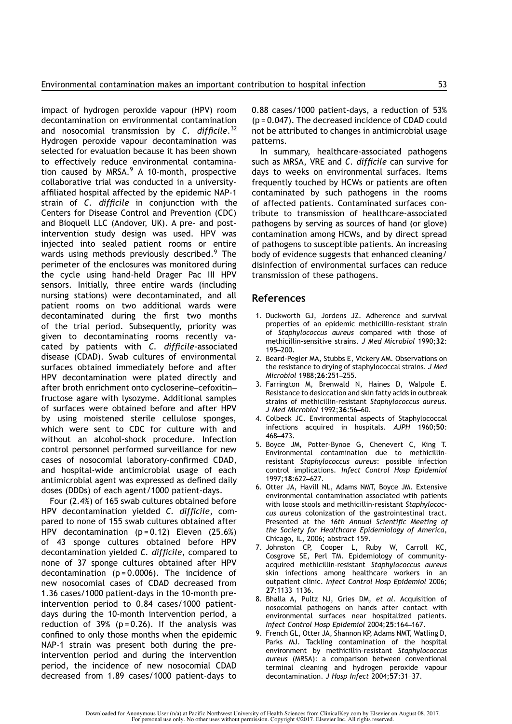impact of hydrogen peroxide vapour (HPV) room decontamination on environmental contamination and nosocomial transmission by *C. difficile*.<sup>32</sup> Hydrogen peroxide vapour decontamination was selected for evaluation because it has been shown to effectively reduce environmental contamination caused by MRSA. $9$  A 10-month, prospective collaborative trial was conducted in a universityaffiliated hospital affected by the epidemic NAP-1 strain of *C. difficile* in conjunction with the Centers for Disease Control and Prevention (CDC) and Bioquell LLC (Andover, UK). A pre- and postintervention study design was used. HPV was injected into sealed patient rooms or entire wards using methods previously described.<sup>9</sup> The perimeter of the enclosures was monitored during the cycle using hand-held Drager Pac III HPV sensors. Initially, three entire wards (including nursing stations) were decontaminated, and all patient rooms on two additional wards were decontaminated during the first two months of the trial period. Subsequently, priority was given to decontaminating rooms recently vacated by patients with *C. difficile*-associated disease (CDAD). Swab cultures of environmental surfaces obtained immediately before and after HPV decontamination were plated directly and after broth enrichment onto cycloserine-cefoxitinfructose agare with lysozyme. Additional samples of surfaces were obtained before and after HPV by using moistened sterile cellulose sponges, which were sent to CDC for culture with and without an alcohol-shock procedure. Infection control personnel performed surveillance for new cases of nosocomial laboratory-confirmed CDAD, and hospital-wide antimicrobial usage of each antimicrobial agent was expressed as defined daily doses (DDDs) of each agent/1000 patient-days.

Four (2.4%) of 165 swab cultures obtained before HPV decontamination yielded *C. difficile*, compared to none of 155 swab cultures obtained after HPV decontamination  $(p=0.12)$  Eleven (25.6%) of 43 sponge cultures obtained before HPV decontamination yielded *C. difficile*, compared to none of 37 sponge cultures obtained after HPV decontamination ( $p = 0.0006$ ). The incidence of new nosocomial cases of CDAD decreased from 1.36 cases/1000 patient-days in the 10-month preintervention period to 0.84 cases/1000 patientdays during the 10-month intervention period, a reduction of 39% ( $p = 0.26$ ). If the analysis was confined to only those months when the epidemic NAP-1 strain was present both during the preintervention period and during the intervention period, the incidence of new nosocomial CDAD decreased from 1.89 cases/1000 patient-days to 0.88 cases/1000 patient-days, a reduction of 53% (p = 0.047). The decreased incidence of CDAD could not be attributed to changes in antimicrobial usage patterns.

In summary, healthcare-associated pathogens such as MRSA, VRE and *C. difficile* can survive for days to weeks on environmental surfaces. Items frequently touched by HCWs or patients are often contaminated by such pathogens in the rooms of affected patients. Contaminated surfaces contribute to transmission of healthcare-associated pathogens by serving as sources of hand (or glove) contamination among HCWs, and by direct spread of pathogens to susceptible patients. An increasing body of evidence suggests that enhanced cleaning/ disinfection of environmental surfaces can reduce transmission of these pathogens.

## References

- 1. Duckworth GJ, Jordens JZ. Adherence and survival properties of an epidemic methicillin-resistant strain of *Staphylococcus aureus* compared with those of methicillin-sensitive strains. *J Med Microbiol* 1990;32:  $195 - 200$ .
- 2. Beard-Pegler MA, Stubbs E, Vickery AM. Observations on the resistance to drying of staphylococcal strains. *J Med Microbiol* 1988; 26:251-255.
- 3. Farrington M, Brenwald N, Haines D, Walpole E. Resistance to desiccation and skin fatty acids in outbreak strains of methicillin-resistant *Staphylococcus aureus. J Med Microbiol 1992;36:56-60.*
- 4. Colbeck JC. Environmental aspects of Staphylococcal infections acquired in hospitals. *AJPH* 1960;50: 468 473.
- 5. Boyce JM, Potter-Bynoe G, Chenevert C, King T. Environmental contamination due to methicillinresistant *Staphylococcus aureus*: possible infection control implications. *Infect Control Hosp Epidemiol* 1997;18:622-627.
- 6. Otter JA, Havill NL, Adams NMT, Boyce JM. Extensive environmental contamination associated wtih patients with loose stools and methicillin-resistant *Staphylococcus aureu*s colonization of the gastrointestinal tract. Presented at the *16th Annual Scientific Meeting of the Society for Healthcare Epidemiology of America*, Chicago, IL, 2006; abstract 159.
- 7. Johnston CP, Cooper L, Ruby W, Carroll KC, Cosgrove SE, Perl TM. Epidemiology of communityacquired methicillin-resistant *Staphylococcus aureus* skin infections among healthcare workers in an outpatient clinic. *Infect Control Hosp Epidemiol* 2006; 27:1133-1136.
- 8. Bhalla A, Pultz NJ, Gries DM, *et al.* Acquisition of nosocomial pathogens on hands after contact with environmental surfaces near hospitalized patients. Infect Control Hosp Epidemiol 2004;25:164-167.
- 9. French GL, Otter JA, Shannon KP, Adams NMT, Watling D, Parks MJ. Tackling contamination of the hospital environment by methicillin-resistant *Staphylococcus aureus* (MRSA): a comparison between conventional terminal cleaning and hydrogen peroxide vapour decontamination. *J Hosp Infect* 2004;57:31-37.